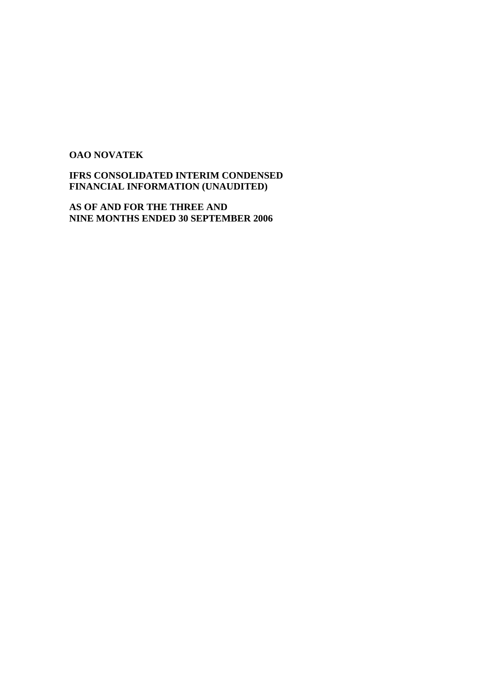#### **OAO NOVATEK**

### **IFRS CONSOLIDATED INTERIM CONDENSED FINANCIAL INFORMATION (UNAUDITED)**

**AS OF AND FOR THE THREE AND NINE MONTHS ENDED 30 SEPTEMBER 2006**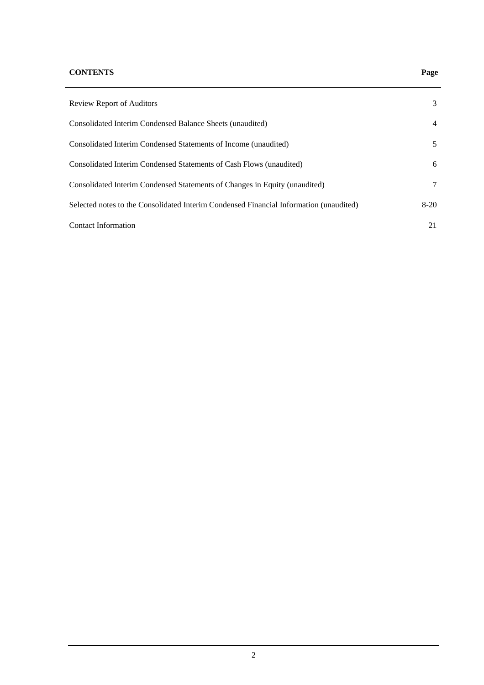#### **CONTENTS Page**

## Review Report of Auditors 3 Consolidated Interim Condensed Balance Sheets (unaudited) 4 Consolidated Interim Condensed Statements of Income (unaudited) 5 Consolidated Interim Condensed Statements of Cash Flows (unaudited) 6 Consolidated Interim Condensed Statements of Changes in Equity (unaudited) 7 Selected notes to the Consolidated Interim Condensed Financial Information (unaudited) 8-20 Contact Information 21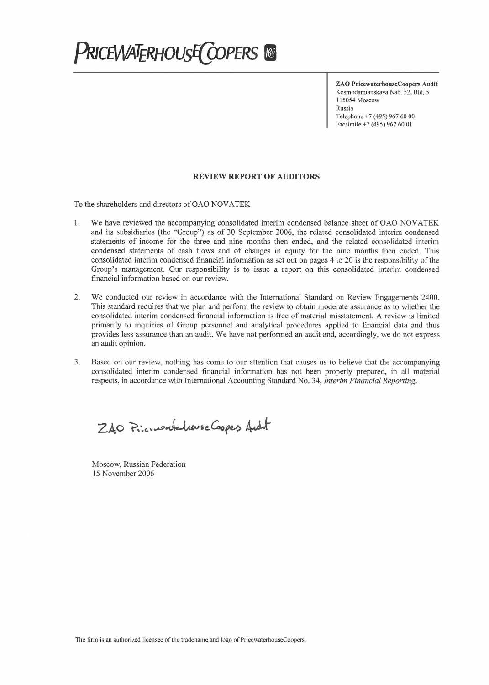# **PRICEWATERHOUSE COPERS &**

**ZAO PricewaterhouseCoopers Audit** Kosmodamianskaya Nab. 52, Bld. 5 115054 Moscow Russia Telephone +7 (495) 967 60 00 Facsimile +7 (495) 967 60 01

#### **REVIEW REPORT OF AUDITORS**

To the shareholders and directors of OAO NOVATEK

- We have reviewed the accompanying consolidated interim condensed balance sheet of OAO NOVATEK 1. and its subsidiaries (the "Group") as of 30 September 2006, the related consolidated interim condensed statements of income for the three and nine months then ended, and the related consolidated interim condensed statements of cash flows and of changes in equity for the nine months then ended. This consolidated interim condensed financial information as set out on pages 4 to 20 is the responsibility of the Group's management. Our responsibility is to issue a report on this consolidated interim condensed financial information based on our review.
- 2. We conducted our review in accordance with the International Standard on Review Engagements 2400. This standard requires that we plan and perform the review to obtain moderate assurance as to whether the consolidated interim condensed financial information is free of material misstatement. A review is limited primarily to inquiries of Group personnel and analytical procedures applied to financial data and thus provides less assurance than an audit. We have not performed an audit and, accordingly, we do not express an audit opinion.
- Based on our review, nothing has come to our attention that causes us to believe that the accompanying  $3.$ consolidated interim condensed financial information has not been properly prepared, in all material respects, in accordance with International Accounting Standard No. 34, Interim Financial Reporting.

ZAO Princess Leurse Cappes Aucht

Moscow, Russian Federation 15 November 2006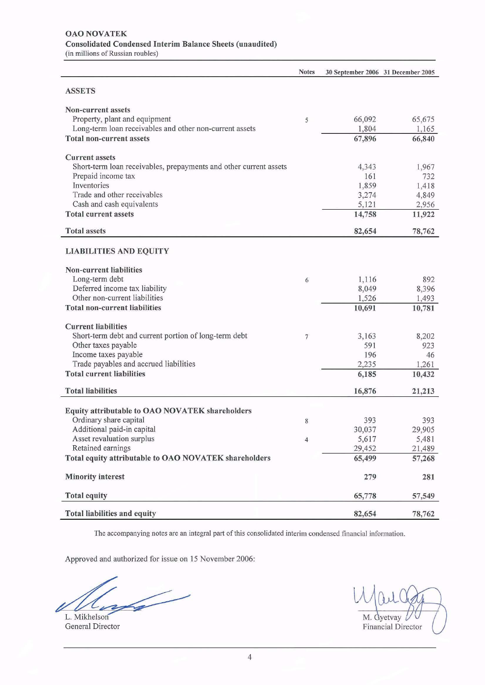**Notes** 30 September 2006 31 December 2005 **ASSETS** Non-current assets Property, plant and equipment 66,092 65,675  $\sqrt{5}$ Long-term loan receivables and other non-current assets 1,804 1,165 **Total non-current assets** 67,896 66,840 **Current assets** Short-term loan receivables, prepayments and other current assets 4,343 1,967 Prepaid income tax 161 732 Inventories 1,859 1,418 Trade and other receivables 3,274 4,849 Cash and cash equivalents 5,121 2,956 **Total current assets** 14,758 11,922 **Total assets** 82,654 78,762 **LIABILITIES AND EQUITY** Non-current liabilities Long-term debt 1,116 892 6 Deferred income tax liability 8,049 8,396 Other non-current liabilities 1,526 1,493 **Total non-current liabilities** 10,691 10,781 **Current liabilities** Short-term debt and current portion of long-term debt  $\overline{7}$ 3,163 8,202 Other taxes payable 591 923 Income taxes payable 196 46 Trade payables and accrued liabilities 2,235 1,261 **Total current liabilities** 10,432 6,185 **Total liabilities** 16,876 21,213 Equity attributable to OAO NOVATEK shareholders Ordinary share capital 393 393 8 Additional paid-in capital 30,037 29,905 Asset revaluation surplus 5,617 5,481  $\overline{4}$ 29,452 Retained earnings 21,489 Total equity attributable to OAO NOVATEK shareholders 65,499 57,268 **Minority** interest 279 281 **Total equity** 65,778 57,549 Total liabilities and equity 82,654 78,762

The accompanying notes are an integral part of this consolidated interim condensed financial information.

Approved and authorized for issue on 15 November 2006:

L. Mikhelson General Director

| M. Gyetvay<br>Financial Director |
|----------------------------------|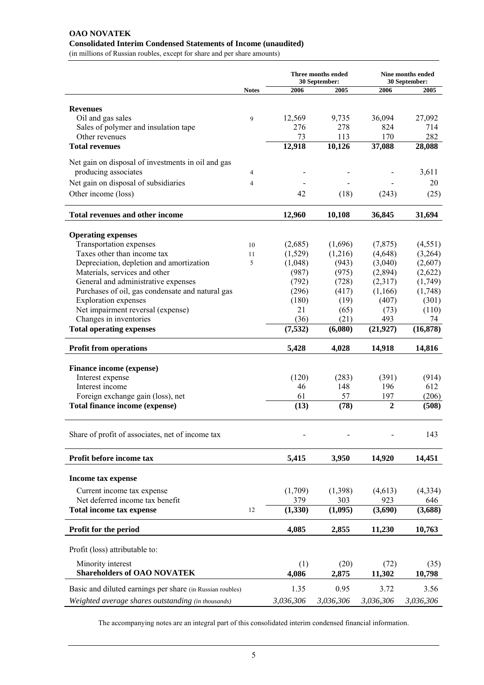#### **OAO NOVATEK Consolidated Interim Condensed Statements of Income (unaudited)**

(in millions of Russian roubles, except for share and per share amounts)

|                                                           |              | Three months ended<br>30 September: |           |                | Nine months ended<br>30 September: |  |
|-----------------------------------------------------------|--------------|-------------------------------------|-----------|----------------|------------------------------------|--|
|                                                           | <b>Notes</b> | 2006                                | 2005      | 2006           | 2005                               |  |
|                                                           |              |                                     |           |                |                                    |  |
| <b>Revenues</b>                                           |              |                                     |           |                |                                    |  |
| Oil and gas sales                                         | 9            | 12,569                              | 9,735     | 36,094         | 27,092                             |  |
| Sales of polymer and insulation tape                      |              | 276                                 | 278       | 824            | 714                                |  |
| Other revenues                                            |              | 73                                  | 113       | 170            | 282                                |  |
| <b>Total revenues</b>                                     |              | 12,918                              | 10,126    | 37,088         | 28,088                             |  |
| Net gain on disposal of investments in oil and gas        |              |                                     |           |                |                                    |  |
| producing associates                                      | 4            |                                     |           |                | 3,611                              |  |
| Net gain on disposal of subsidiaries                      | 4            |                                     |           |                | 20                                 |  |
| Other income (loss)                                       |              | 42                                  | (18)      | (243)          | (25)                               |  |
| <b>Total revenues and other income</b>                    |              | 12,960                              | 10,108    | 36,845         | 31,694                             |  |
|                                                           |              |                                     |           |                |                                    |  |
| <b>Operating expenses</b>                                 |              |                                     |           |                |                                    |  |
| Transportation expenses                                   | 10           | (2,685)                             | (1,696)   | (7, 875)       | (4, 551)                           |  |
| Taxes other than income tax                               | 11           | (1,529)                             | (1,216)   | (4,648)        | (3,264)                            |  |
| Depreciation, depletion and amortization                  | 5            | (1,048)                             | (943)     | (3,040)        | (2,607)                            |  |
| Materials, services and other                             |              | (987)                               | (975)     | (2,894)        | (2,622)                            |  |
| General and administrative expenses                       |              | (792)                               | (728)     | (2,317)        | (1,749)                            |  |
| Purchases of oil, gas condensate and natural gas          |              | (296)                               | (417)     | (1,166)        | (1,748)                            |  |
| <b>Exploration</b> expenses                               |              | (180)                               | (19)      | (407)          | (301)                              |  |
| Net impairment reversal (expense)                         |              | 21                                  | (65)      | (73)           | (110)                              |  |
| Changes in inventories                                    |              | (36)                                | (21)      | 493            | 74                                 |  |
| <b>Total operating expenses</b>                           |              | (7,532)                             | (6,080)   | (21, 927)      | (16, 878)                          |  |
| <b>Profit from operations</b>                             |              | 5,428                               | 4,028     | 14,918         | 14,816                             |  |
| Finance income (expense)                                  |              |                                     |           |                |                                    |  |
| Interest expense                                          |              | (120)                               | (283)     | (391)          | (914)                              |  |
| Interest income                                           |              | 46                                  | 148       | 196            | 612                                |  |
| Foreign exchange gain (loss), net                         |              | 61                                  | 57        | 197            | (206)                              |  |
| Total finance income (expense)                            |              | (13)                                | (78)      | $\overline{2}$ | (508)                              |  |
|                                                           |              |                                     |           |                |                                    |  |
| Share of profit of associates, net of income tax          |              | $\overline{a}$                      |           |                | 143                                |  |
|                                                           |              |                                     |           |                |                                    |  |
| Profit before income tax                                  |              | 5,415                               | 3,950     | 14,920         | 14,451                             |  |
| <b>Income tax expense</b>                                 |              |                                     |           |                |                                    |  |
| Current income tax expense                                |              | (1,709)                             | (1,398)   | (4,613)        | (4, 334)                           |  |
| Net deferred income tax benefit                           |              | 379                                 | 303       | 923            | 646                                |  |
| <b>Total income tax expense</b>                           | 12           | (1, 330)                            | (1,095)   | (3,690)        | (3,688)                            |  |
| Profit for the period                                     |              | 4,085                               | 2,855     | 11,230         | 10,763                             |  |
|                                                           |              |                                     |           |                |                                    |  |
| Profit (loss) attributable to:                            |              |                                     |           |                |                                    |  |
| Minority interest                                         |              | (1)                                 | (20)      | (72)           | (35)                               |  |
| <b>Shareholders of OAO NOVATEK</b>                        |              | 4,086                               | 2,875     | 11,302         | 10,798                             |  |
| Basic and diluted earnings per share (in Russian roubles) |              | 1.35                                | 0.95      | 3.72           | 3.56                               |  |
| Weighted average shares outstanding (in thousands)        |              | 3,036,306                           | 3,036,306 | 3,036,306      | 3,036,306                          |  |
|                                                           |              |                                     |           |                |                                    |  |

The accompanying notes are an integral part of this consolidated interim condensed financial information.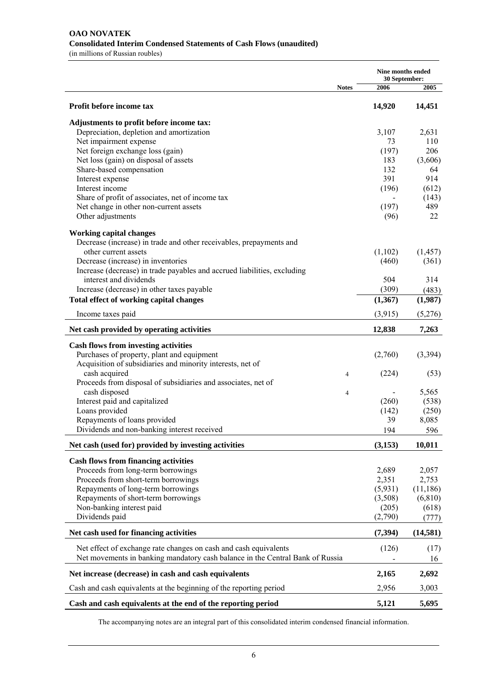|                                                                                             |              | <b>Nine months ended</b><br>30 September: |                   |  |
|---------------------------------------------------------------------------------------------|--------------|-------------------------------------------|-------------------|--|
|                                                                                             | <b>Notes</b> | 2006                                      | 2005              |  |
| Profit before income tax                                                                    |              | 14,920                                    | 14,451            |  |
| Adjustments to profit before income tax:                                                    |              |                                           |                   |  |
| Depreciation, depletion and amortization                                                    |              | 3,107                                     | 2,631             |  |
| Net impairment expense                                                                      |              | 73                                        | 110               |  |
| Net foreign exchange loss (gain)                                                            |              | (197)                                     | 206               |  |
| Net loss (gain) on disposal of assets<br>Share-based compensation                           |              | 183<br>132                                | (3,606)<br>64     |  |
| Interest expense                                                                            |              | 391                                       | 914               |  |
| Interest income                                                                             |              | (196)                                     | (612)             |  |
| Share of profit of associates, net of income tax                                            |              |                                           | (143)             |  |
| Net change in other non-current assets                                                      |              | (197)                                     | 489               |  |
| Other adjustments                                                                           |              | (96)                                      | 22                |  |
| <b>Working capital changes</b>                                                              |              |                                           |                   |  |
| Decrease (increase) in trade and other receivables, prepayments and<br>other current assets |              |                                           |                   |  |
| Decrease (increase) in inventories                                                          |              | (1,102)<br>(460)                          | (1, 457)<br>(361) |  |
| Increase (decrease) in trade payables and accrued liabilities, excluding                    |              |                                           |                   |  |
| interest and dividends                                                                      |              | 504                                       | 314               |  |
| Increase (decrease) in other taxes payable                                                  |              | (309)                                     | (483)             |  |
| Total effect of working capital changes                                                     |              | (1,367)                                   | (1,987)           |  |
| Income taxes paid                                                                           |              | (3,915)                                   | (5,276)           |  |
| Net cash provided by operating activities                                                   |              | 12,838                                    | 7,263             |  |
| <b>Cash flows from investing activities</b>                                                 |              |                                           |                   |  |
| Purchases of property, plant and equipment                                                  |              | (2,760)                                   | (3,394)           |  |
| Acquisition of subsidiaries and minority interests, net of                                  |              |                                           |                   |  |
| cash acquired                                                                               | 4            | (224)                                     | (53)              |  |
| Proceeds from disposal of subsidiaries and associates, net of                               |              |                                           |                   |  |
| cash disposed                                                                               | 4            |                                           | 5,565             |  |
| Interest paid and capitalized                                                               |              | (260)                                     | (538)             |  |
| Loans provided<br>Repayments of loans provided                                              |              | (142)<br>39                               | (250)<br>8,085    |  |
| Dividends and non-banking interest received                                                 |              | 194                                       | 596               |  |
|                                                                                             |              |                                           |                   |  |
| Net cash (used for) provided by investing activities                                        |              | (3,153)                                   | 10,011            |  |
| <b>Cash flows from financing activities</b>                                                 |              |                                           |                   |  |
| Proceeds from long-term borrowings                                                          |              | 2,689                                     | 2,057             |  |
| Proceeds from short-term borrowings                                                         |              | 2,351                                     | 2,753             |  |
| Repayments of long-term borrowings<br>Repayments of short-term borrowings                   |              | (5,931)                                   | (11, 186)         |  |
| Non-banking interest paid                                                                   |              | (3,508)<br>(205)                          | (6, 810)<br>(618) |  |
| Dividends paid                                                                              |              | (2,790)                                   | (777)             |  |
| Net cash used for financing activities                                                      |              | (7, 394)                                  | (14, 581)         |  |
| Net effect of exchange rate changes on cash and cash equivalents                            |              | (126)                                     |                   |  |
| Net movements in banking mandatory cash balance in the Central Bank of Russia               |              |                                           | (17)<br>16        |  |
| Net increase (decrease) in cash and cash equivalents                                        |              | 2,165                                     | 2,692             |  |
| Cash and cash equivalents at the beginning of the reporting period                          |              | 2,956                                     | 3,003             |  |
| Cash and cash equivalents at the end of the reporting period                                |              | 5,121                                     | 5,695             |  |

The accompanying notes are an integral part of this consolidated interim condensed financial information.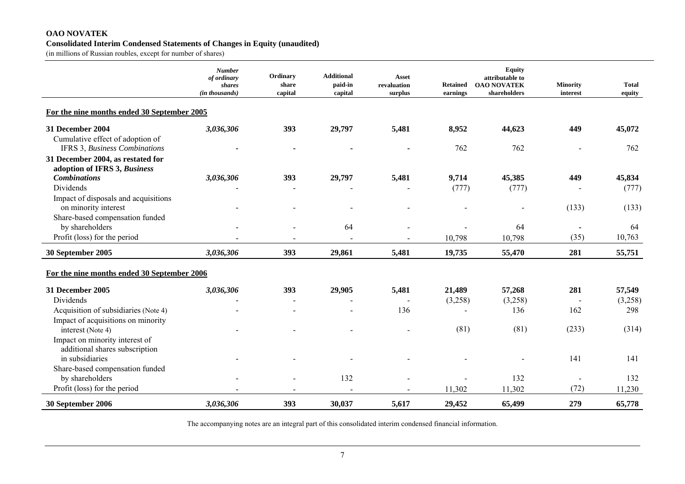#### **OAO NOVATEK Consolidated Interim Condensed Statements of Changes in Equity (unaudited)**

(in millions of Russian roubles, except for number of shares)

|                                                                          | <b>Number</b><br>of ordinary<br>shares<br>(in thousands) | Ordinary<br>share<br>capital | <b>Additional</b><br>paid-in<br>capital | <b>Asset</b><br>revaluation<br>surplus | <b>Retained</b><br>earnings | <b>Equity</b><br>attributable to<br><b>OAO NOVATEK</b><br>shareholders | <b>Minority</b><br>interest | <b>Total</b><br>equity |
|--------------------------------------------------------------------------|----------------------------------------------------------|------------------------------|-----------------------------------------|----------------------------------------|-----------------------------|------------------------------------------------------------------------|-----------------------------|------------------------|
| For the nine months ended 30 September 2005                              |                                                          |                              |                                         |                                        |                             |                                                                        |                             |                        |
| 31 December 2004                                                         | 3,036,306                                                | 393                          | 29,797                                  | 5,481                                  | 8,952                       | 44,623                                                                 | 449                         | 45,072                 |
| Cumulative effect of adoption of<br><b>IFRS 3, Business Combinations</b> |                                                          |                              |                                         |                                        | 762                         | 762                                                                    |                             | 762                    |
| 31 December 2004, as restated for<br>adoption of IFRS 3, Business        |                                                          |                              |                                         |                                        |                             |                                                                        |                             |                        |
| <b>Combinations</b>                                                      | 3,036,306                                                | 393                          | 29,797                                  | 5,481                                  | 9,714                       | 45,385                                                                 | 449                         | 45,834                 |
| Dividends                                                                |                                                          |                              |                                         |                                        | (777)                       | (777)                                                                  |                             | (777)                  |
| Impact of disposals and acquisitions                                     |                                                          |                              |                                         |                                        |                             |                                                                        | (133)                       | (133)                  |
| on minority interest<br>Share-based compensation funded                  |                                                          |                              | $\blacksquare$                          |                                        |                             |                                                                        |                             |                        |
| by shareholders                                                          |                                                          |                              | 64                                      |                                        |                             | 64                                                                     |                             | 64                     |
| Profit (loss) for the period                                             |                                                          |                              |                                         |                                        | 10,798                      | 10,798                                                                 | (35)                        | 10,763                 |
| 30 September 2005                                                        | 3,036,306                                                | 393                          | 29,861                                  | 5,481                                  | 19,735                      | 55,470                                                                 | 281                         | 55,751                 |
| For the nine months ended 30 September 2006                              |                                                          |                              |                                         |                                        |                             |                                                                        |                             |                        |
| 31 December 2005                                                         | 3,036,306                                                | 393                          | 29,905                                  | 5,481                                  | 21,489                      | 57,268                                                                 | 281                         | 57,549                 |
| Dividends                                                                |                                                          |                              |                                         |                                        | (3,258)                     | (3,258)                                                                |                             | (3,258)                |
| Acquisition of subsidiaries (Note 4)                                     |                                                          |                              |                                         | 136                                    |                             | 136                                                                    | 162                         | 298                    |
| Impact of acquisitions on minority<br>interest (Note 4)                  |                                                          |                              |                                         |                                        | (81)                        | (81)                                                                   | (233)                       | (314)                  |
| Impact on minority interest of                                           |                                                          |                              |                                         |                                        |                             |                                                                        |                             |                        |
| additional shares subscription<br>in subsidiaries                        |                                                          |                              |                                         |                                        |                             |                                                                        | 141                         | 141                    |
| Share-based compensation funded                                          |                                                          |                              |                                         |                                        |                             |                                                                        |                             |                        |
| by shareholders                                                          |                                                          |                              | 132                                     |                                        |                             | 132                                                                    |                             | 132                    |
| Profit (loss) for the period                                             |                                                          |                              |                                         |                                        | 11,302                      | 11,302                                                                 | (72)                        | 11,230                 |
| 30 September 2006                                                        | 3,036,306                                                | 393                          | 30,037                                  | 5,617                                  | 29,452                      | 65,499                                                                 | 279                         | 65,778                 |

The accompanying notes are an integral part of this consolidated interim condensed financial information.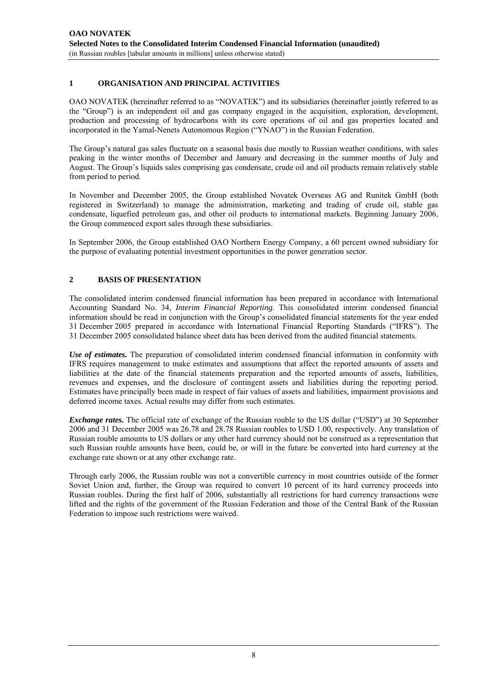#### **1 ORGANISATION AND PRINCIPAL ACTIVITIES**

OAO NOVATEK (hereinafter referred to as "NOVATEK") and its subsidiaries (hereinafter jointly referred to as the "Group") is an independent oil and gas company engaged in the acquisition, exploration, development, production and processing of hydrocarbons with its core operations of oil and gas properties located and incorporated in the Yamal-Nenets Autonomous Region ("YNAO") in the Russian Federation.

The Group's natural gas sales fluctuate on a seasonal basis due mostly to Russian weather conditions, with sales peaking in the winter months of December and January and decreasing in the summer months of July and August. The Group's liquids sales comprising gas condensate, crude oil and oil products remain relatively stable from period to period.

In November and December 2005, the Group established Novatek Overseas AG and Runitek GmbH (both registered in Switzerland) to manage the administration, marketing and trading of crude oil, stable gas condensate, liquefied petroleum gas, and other oil products to international markets. Beginning January 2006, the Group commenced export sales through these subsidiaries.

In September 2006, the Group established OAO Northern Energy Company, a 60 percent owned subsidiary for the purpose of evaluating potential investment opportunities in the power generation sector.

#### **2 BASIS OF PRESENTATION**

The consolidated interim condensed financial information has been prepared in accordance with International Accounting Standard No. 34, *Interim Financial Reporting*. This consolidated interim condensed financial information should be read in conjunction with the Group's consolidated financial statements for the year ended 31 December 2005 prepared in accordance with International Financial Reporting Standards ("IFRS"). The 31 December 2005 consolidated balance sheet data has been derived from the audited financial statements.

*Use of estimates.* The preparation of consolidated interim condensed financial information in conformity with IFRS requires management to make estimates and assumptions that affect the reported amounts of assets and liabilities at the date of the financial statements preparation and the reported amounts of assets, liabilities, revenues and expenses, and the disclosure of contingent assets and liabilities during the reporting period. Estimates have principally been made in respect of fair values of assets and liabilities, impairment provisions and deferred income taxes. Actual results may differ from such estimates.

*Exchange rates.* The official rate of exchange of the Russian rouble to the US dollar ("USD") at 30 September 2006 and 31 December 2005 was 26.78 and 28.78 Russian roubles to USD 1.00, respectively. Any translation of Russian rouble amounts to US dollars or any other hard currency should not be construed as a representation that such Russian rouble amounts have been, could be, or will in the future be converted into hard currency at the exchange rate shown or at any other exchange rate.

Through early 2006, the Russian rouble was not a convertible currency in most countries outside of the former Soviet Union and, further, the Group was required to convert 10 percent of its hard currency proceeds into Russian roubles. During the first half of 2006, substantially all restrictions for hard currency transactions were lifted and the rights of the government of the Russian Federation and those of the Central Bank of the Russian Federation to impose such restrictions were waived.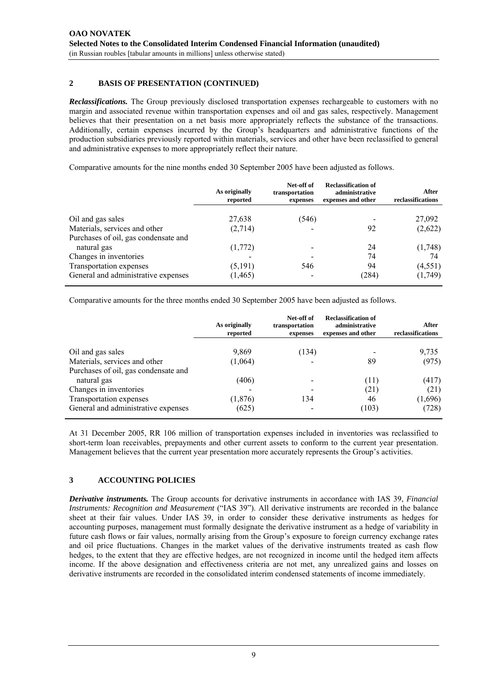#### **2 BASIS OF PRESENTATION (CONTINUED)**

*Reclassifications.* The Group previously disclosed transportation expenses rechargeable to customers with no margin and associated revenue within transportation expenses and oil and gas sales, respectively. Management believes that their presentation on a net basis more appropriately reflects the substance of the transactions. Additionally, certain expenses incurred by the Group's headquarters and administrative functions of the production subsidiaries previously reported within materials, services and other have been reclassified to general and administrative expenses to more appropriately reflect their nature.

Comparative amounts for the nine months ended 30 September 2005 have been adjusted as follows.

|                                      | As originally<br>reported | Net-off of<br>transportation<br>expenses | <b>Reclassification of</b><br>administrative<br>expenses and other | After<br>reclassifications |
|--------------------------------------|---------------------------|------------------------------------------|--------------------------------------------------------------------|----------------------------|
| Oil and gas sales                    | 27,638                    | (546)                                    |                                                                    | 27,092                     |
| Materials, services and other        | (2,714)                   |                                          | 92                                                                 | (2,622)                    |
| Purchases of oil, gas condensate and |                           |                                          |                                                                    |                            |
| natural gas                          | (1,772)                   |                                          | 24                                                                 | (1,748)                    |
| Changes in inventories               |                           |                                          | 74                                                                 | 74                         |
| Transportation expenses              | (5,191)                   | 546                                      | 94                                                                 | (4, 551)                   |
| General and administrative expenses  | (1, 465)                  |                                          | (284)                                                              | (1,749)                    |

Comparative amounts for the three months ended 30 September 2005 have been adjusted as follows.

|                                      | As originally<br>reported | Net-off of<br>transportation<br>expenses | <b>Reclassification of</b><br>administrative<br>expenses and other | After<br>reclassifications |
|--------------------------------------|---------------------------|------------------------------------------|--------------------------------------------------------------------|----------------------------|
| Oil and gas sales                    | 9,869                     | (134)                                    |                                                                    | 9,735                      |
| Materials, services and other        | (1,064)                   |                                          | 89                                                                 | (975)                      |
| Purchases of oil, gas condensate and |                           |                                          |                                                                    |                            |
| natural gas                          | (406)                     |                                          | (11)                                                               | (417)                      |
| Changes in inventories               |                           |                                          | (21)                                                               | (21)                       |
| Transportation expenses              | (1, 876)                  | 134                                      | 46                                                                 | (1,696)                    |
| General and administrative expenses  | (625)                     |                                          | (103)                                                              | (728)                      |

At 31 December 2005, RR 106 million of transportation expenses included in inventories was reclassified to short-term loan receivables, prepayments and other current assets to conform to the current year presentation. Management believes that the current year presentation more accurately represents the Group's activities.

#### **3 ACCOUNTING POLICIES**

*Derivative instruments.* The Group accounts for derivative instruments in accordance with IAS 39, *Financial Instruments: Recognition and Measurement* ("IAS 39"). All derivative instruments are recorded in the balance sheet at their fair values. Under IAS 39, in order to consider these derivative instruments as hedges for accounting purposes, management must formally designate the derivative instrument as a hedge of variability in future cash flows or fair values, normally arising from the Group's exposure to foreign currency exchange rates and oil price fluctuations. Changes in the market values of the derivative instruments treated as cash flow hedges, to the extent that they are effective hedges, are not recognized in income until the hedged item affects income. If the above designation and effectiveness criteria are not met, any unrealized gains and losses on derivative instruments are recorded in the consolidated interim condensed statements of income immediately.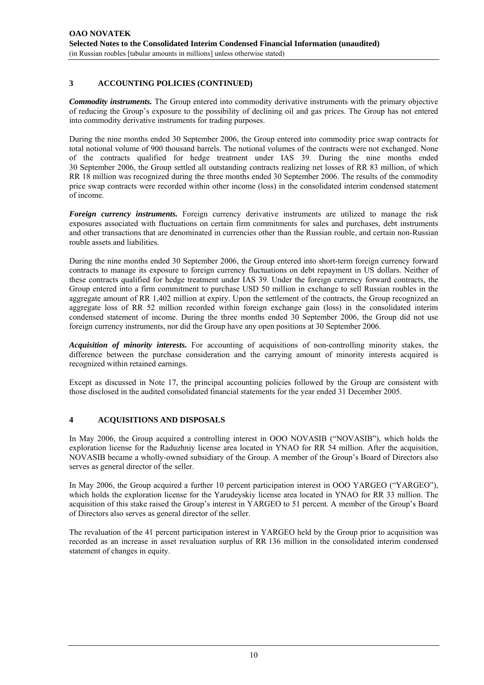#### **3 ACCOUNTING POLICIES (CONTINUED)**

*Commodity instruments.* The Group entered into commodity derivative instruments with the primary objective of reducing the Group's exposure to the possibility of declining oil and gas prices. The Group has not entered into commodity derivative instruments for trading purposes.

During the nine months ended 30 September 2006, the Group entered into commodity price swap contracts for total notional volume of 900 thousand barrels. The notional volumes of the contracts were not exchanged. None of the contracts qualified for hedge treatment under IAS 39. During the nine months ended 30 September 2006, the Group settled all outstanding contracts realizing net losses of RR 83 million, of which RR 18 million was recognized during the three months ended 30 September 2006. The results of the commodity price swap contracts were recorded within other income (loss) in the consolidated interim condensed statement of income.

*Foreign currency instruments.* Foreign currency derivative instruments are utilized to manage the risk exposures associated with fluctuations on certain firm commitments for sales and purchases, debt instruments and other transactions that are denominated in currencies other than the Russian rouble, and certain non-Russian rouble assets and liabilities.

During the nine months ended 30 September 2006, the Group entered into short-term foreign currency forward contracts to manage its exposure to foreign currency fluctuations on debt repayment in US dollars. Neither of these contracts qualified for hedge treatment under IAS 39. Under the foreign currency forward contracts, the Group entered into a firm commitment to purchase USD 50 million in exchange to sell Russian roubles in the aggregate amount of RR 1,402 million at expiry. Upon the settlement of the contracts, the Group recognized an aggregate loss of RR 52 million recorded within foreign exchange gain (loss) in the consolidated interim condensed statement of income. During the three months ended 30 September 2006, the Group did not use foreign currency instruments, nor did the Group have any open positions at 30 September 2006.

*Acquisition of minority interests.* For accounting of acquisitions of non-controlling minority stakes, the difference between the purchase consideration and the carrying amount of minority interests acquired is recognized within retained earnings.

Except as discussed in Note 17, the principal accounting policies followed by the Group are consistent with those disclosed in the audited consolidated financial statements for the year ended 31 December 2005.

#### **4 ACQUISITIONS AND DISPOSALS**

In May 2006, the Group acquired a controlling interest in OOO NOVASIB ("NOVASIB"), which holds the exploration license for the Raduzhniy license area located in YNAO for RR 54 million. After the acquisition, NOVASIB became a wholly-owned subsidiary of the Group. A member of the Group's Board of Directors also serves as general director of the seller.

In May 2006, the Group acquired a further 10 percent participation interest in OOO YARGEO ("YARGEO"), which holds the exploration license for the Yarudeyskiy license area located in YNAO for RR 33 million. The acquisition of this stake raised the Group's interest in YARGEO to 51 percent. A member of the Group's Board of Directors also serves as general director of the seller.

The revaluation of the 41 percent participation interest in YARGEO held by the Group prior to acquisition was recorded as an increase in asset revaluation surplus of RR 136 million in the consolidated interim condensed statement of changes in equity.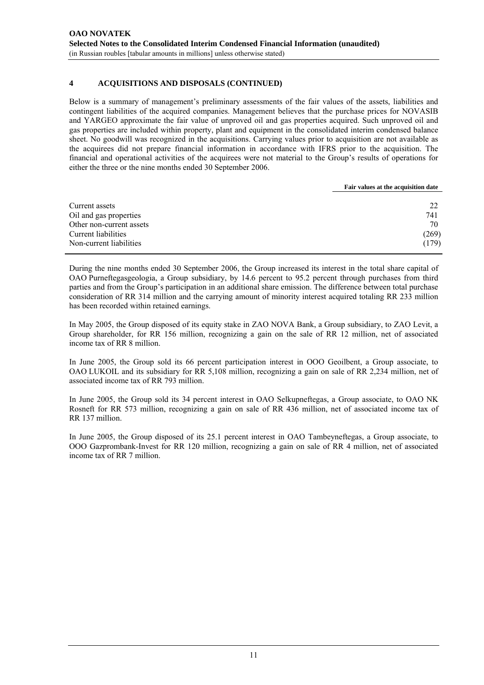#### **4 ACQUISITIONS AND DISPOSALS (CONTINUED)**

Below is a summary of management's preliminary assessments of the fair values of the assets, liabilities and contingent liabilities of the acquired companies. Management believes that the purchase prices for NOVASIB and YARGEO approximate the fair value of unproved oil and gas properties acquired. Such unproved oil and gas properties are included within property, plant and equipment in the consolidated interim condensed balance sheet. No goodwill was recognized in the acquisitions. Carrying values prior to acquisition are not available as the acquirees did not prepare financial information in accordance with IFRS prior to the acquisition. The financial and operational activities of the acquirees were not material to the Group's results of operations for either the three or the nine months ended 30 September 2006.

|                          | Fair values at the acquisition date |
|--------------------------|-------------------------------------|
|                          |                                     |
| Current assets           | 22                                  |
| Oil and gas properties   | 741                                 |
| Other non-current assets | 70                                  |
| Current liabilities      | (269)                               |
| Non-current liabilities  | (179)                               |

During the nine months ended 30 September 2006, the Group increased its interest in the total share capital of OAO Purneftegasgeologia, a Group subsidiary, by 14.6 percent to 95.2 percent through purchases from third parties and from the Group's participation in an additional share emission. The difference between total purchase consideration of RR 314 million and the carrying amount of minority interest acquired totaling RR 233 million has been recorded within retained earnings.

In May 2005, the Group disposed of its equity stake in ZAO NOVA Bank, a Group subsidiary, to ZAO Levit, a Group shareholder, for RR 156 million, recognizing a gain on the sale of RR 12 million, net of associated income tax of RR 8 million.

In June 2005, the Group sold its 66 percent participation interest in OOO Geoilbent, a Group associate, to OAO LUKOIL and its subsidiary for RR 5,108 million, recognizing a gain on sale of RR 2,234 million, net of associated income tax of RR 793 million.

In June 2005, the Group sold its 34 percent interest in OAO Selkupneftegas, a Group associate, to OAO NK Rosneft for RR 573 million, recognizing a gain on sale of RR 436 million, net of associated income tax of RR 137 million.

In June 2005, the Group disposed of its 25.1 percent interest in OAO Tambeyneftegas, a Group associate, to OOO Gazprombank-Invest for RR 120 million, recognizing a gain on sale of RR 4 million, net of associated income tax of RR 7 million.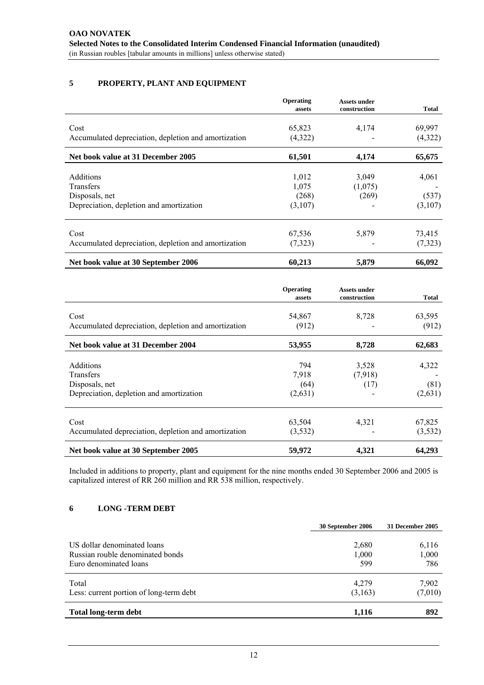#### **5 PROPERTY, PLANT AND EQUIPMENT**

| assets   | Assets under<br>construction       | <b>Total</b>                       |
|----------|------------------------------------|------------------------------------|
|          |                                    | 69,997                             |
| (4,322)  |                                    | (4,322)                            |
| 61,501   | 4,174                              | 65,675                             |
|          |                                    | 4,061                              |
|          |                                    |                                    |
| (268)    | (269)                              | (537)                              |
| (3,107)  |                                    | (3,107)                            |
|          |                                    | 73,415                             |
| (7, 323) |                                    | (7,323)                            |
| 60,213   | 5,879                              | 66,092                             |
|          | 65,823<br>1,012<br>1,075<br>67,536 | 4,174<br>3,049<br>(1,075)<br>5,879 |

|                                                      | Operating<br>assets | <b>Assets under</b><br>construction | <b>Total</b> |
|------------------------------------------------------|---------------------|-------------------------------------|--------------|
| Cost                                                 | 54,867              | 8,728                               | 63,595       |
| Accumulated depreciation, depletion and amortization | (912)               |                                     | (912)        |
| Net book value at 31 December 2004                   | 53,955              | 8,728                               | 62,683       |
| <b>Additions</b>                                     | 794                 | 3,528                               | 4,322        |
| Transfers                                            | 7,918               | (7,918)                             |              |
| Disposals, net                                       | (64)                | (17)                                | (81)         |
| Depreciation, depletion and amortization             | (2,631)             |                                     | (2,631)      |
| Cost                                                 | 63,504              | 4,321                               | 67,825       |
| Accumulated depreciation, depletion and amortization | (3,532)             |                                     | (3, 532)     |
| Net book value at 30 September 2005                  | 59,972              | 4,321                               | 64,293       |

Included in additions to property, plant and equipment for the nine months ended 30 September 2006 and 2005 is capitalized interest of RR 260 million and RR 538 million, respectively.

#### **6 LONG -TERM DEBT**

|                                         | 30 September 2006 | 31 December 2005 |
|-----------------------------------------|-------------------|------------------|
| US dollar denominated loans             | 2,680             | 6,116            |
| Russian rouble denominated bonds        | 1,000             | 1,000            |
| Euro denominated loans                  | 599               | 786              |
| Total                                   | 4,279             | 7,902            |
| Less: current portion of long-term debt | (3,163)           | (7,010)          |
| <b>Total long-term debt</b>             | 1,116             | 892              |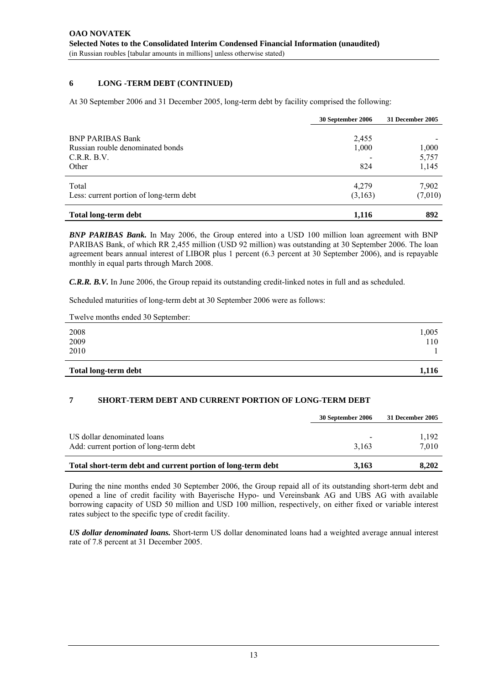#### **6 LONG -TERM DEBT (CONTINUED)**

At 30 September 2006 and 31 December 2005, long-term debt by facility comprised the following:

|                                                                                    | 30 September 2006     | 31 December 2005        |
|------------------------------------------------------------------------------------|-----------------------|-------------------------|
| <b>BNP PARIBAS Bank</b><br>Russian rouble denominated bonds<br>C.R.R.B.V.<br>Other | 2,455<br>1,000<br>824 | 1,000<br>5,757<br>1,145 |
| Total<br>Less: current portion of long-term debt                                   | 4,279<br>(3,163)      | 7,902<br>(7,010)        |
| <b>Total long-term debt</b>                                                        | 1.116                 | 892                     |

*BNP PARIBAS Bank.* In May 2006, the Group entered into a USD 100 million loan agreement with BNP PARIBAS Bank, of which RR 2,455 million (USD 92 million) was outstanding at 30 September 2006. The loan agreement bears annual interest of LIBOR plus 1 percent (6.3 percent at 30 September 2006), and is repayable monthly in equal parts through March 2008.

*C.R.R. B.V.* In June 2006, the Group repaid its outstanding credit-linked notes in full and as scheduled.

Scheduled maturities of long-term debt at 30 September 2006 were as follows:

| <b>Total long-term debt</b>       | 1,116 |
|-----------------------------------|-------|
| 2010                              |       |
| 2009                              | 110   |
| 2008                              | 1,005 |
|                                   |       |
| Twelve months ended 30 September: |       |

#### **7 SHORT-TERM DEBT AND CURRENT PORTION OF LONG-TERM DEBT**

|                                                                       | 30 September 2006                 | 31 December 2005 |
|-----------------------------------------------------------------------|-----------------------------------|------------------|
| US dollar denominated loans<br>Add: current portion of long-term debt | $\overline{\phantom{a}}$<br>3.163 | 1.192<br>7.010   |
| Total short-term debt and current portion of long-term debt           | 3,163                             | 8.202            |

During the nine months ended 30 September 2006, the Group repaid all of its outstanding short-term debt and opened a line of credit facility with Bayerische Hypo- und Vereinsbank AG and UBS AG with available borrowing capacity of USD 50 million and USD 100 million, respectively, on either fixed or variable interest rates subject to the specific type of credit facility.

*US dollar denominated loans.* Short-term US dollar denominated loans had a weighted average annual interest rate of 7.8 percent at 31 December 2005.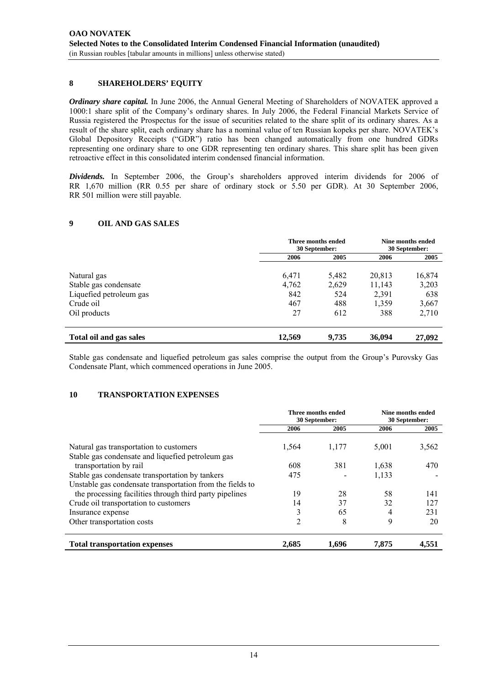#### **8 SHAREHOLDERS' EQUITY**

*Ordinary share capital.* In June 2006, the Annual General Meeting of Shareholders of NOVATEK approved a 1000:1 share split of the Company's ordinary shares. In July 2006, the Federal Financial Markets Service of Russia registered the Prospectus for the issue of securities related to the share split of its ordinary shares. As a result of the share split, each ordinary share has a nominal value of ten Russian kopeks per share. NOVATEK's Global Depository Receipts ("GDR") ratio has been changed automatically from one hundred GDRs representing one ordinary share to one GDR representing ten ordinary shares. This share split has been given retroactive effect in this consolidated interim condensed financial information.

*Dividends.* In September 2006, the Group's shareholders approved interim dividends for 2006 of RR 1,670 million (RR 0.55 per share of ordinary stock or 5.50 per GDR). At 30 September 2006, RR 501 million were still payable.

#### **9 OIL AND GAS SALES**

|                                                  | Three months ended<br>30 September: |       | Nine months ended<br>30 September:     |                       |
|--------------------------------------------------|-------------------------------------|-------|----------------------------------------|-----------------------|
|                                                  | 2006                                | 2005  | 2006                                   | 2005                  |
| Natural gas                                      | 6,471                               | 5,482 | 20,813                                 | 16,874                |
| Stable gas condensate<br>Liquefied petroleum gas | 4,762<br>842<br>467                 | 2,629 | 11,143<br>524<br>2,391<br>488<br>1.359 | 3,203<br>638<br>3,667 |
|                                                  |                                     |       |                                        |                       |
| Crude oil                                        |                                     |       |                                        |                       |
| Oil products                                     | 27                                  | 612   | 388                                    | 2,710                 |
| Total oil and gas sales                          | 12,569                              | 9.735 | 36,094                                 | 27,092                |

Stable gas condensate and liquefied petroleum gas sales comprise the output from the Group's Purovsky Gas Condensate Plant, which commenced operations in June 2005.

#### **10 TRANSPORTATION EXPENSES**

|                                                                                                              | Three months ended<br>30 September: |       | Nine months ended<br>30 September: |       |
|--------------------------------------------------------------------------------------------------------------|-------------------------------------|-------|------------------------------------|-------|
|                                                                                                              | 2006                                | 2005  | 2006                               | 2005  |
| Natural gas transportation to customers<br>Stable gas condensate and liquefied petroleum gas                 | 1,564                               | 1,177 | 5,001                              | 3,562 |
| transportation by rail                                                                                       | 608                                 | 381   | 1,638                              | 470   |
| Stable gas condensate transportation by tankers<br>Unstable gas condensate transportation from the fields to | 475                                 |       | 1,133                              |       |
| the processing facilities through third party pipelines                                                      | 19                                  | 28    | 58                                 | 141   |
| Crude oil transportation to customers                                                                        | 14                                  | 37    | 32                                 | 127   |
| Insurance expense                                                                                            | 3                                   | 65    | 4                                  | 231   |
| Other transportation costs                                                                                   | 2                                   | 8     | 9                                  | 20    |
| <b>Total transportation expenses</b>                                                                         | 2,685                               | 1.696 | 7.875                              | 4.551 |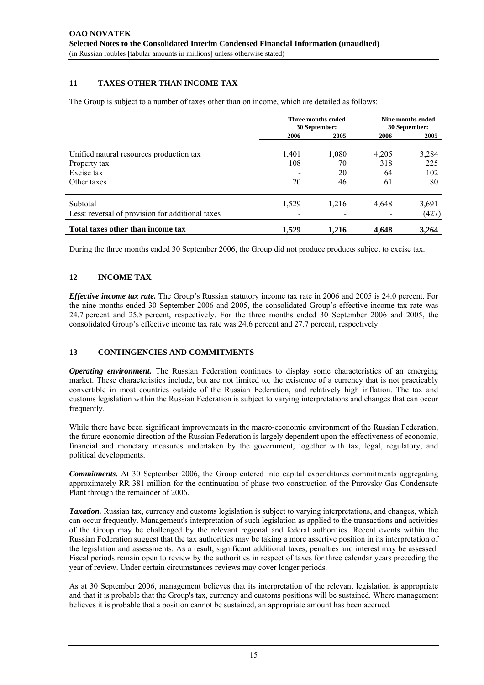#### **11 TAXES OTHER THAN INCOME TAX**

The Group is subject to a number of taxes other than on income, which are detailed as follows:

|                                                  | Three months ended<br>30 September: |       | Nine months ended<br>30 September: |       |
|--------------------------------------------------|-------------------------------------|-------|------------------------------------|-------|
|                                                  | 2006                                | 2005  | 2006                               | 2005  |
| Unified natural resources production tax         | 1,401                               | 1,080 | 4,205                              | 3,284 |
| Property tax                                     | 108                                 | 70    | 318                                | 225   |
| Excise tax                                       |                                     | 20    | 64                                 | 102   |
| Other taxes                                      | 20                                  | 46    | 61                                 | 80    |
| Subtotal                                         | 1,529                               | 1,216 | 4,648                              | 3.691 |
| Less: reversal of provision for additional taxes |                                     |       |                                    | (427) |
| Total taxes other than income tax                | 1.529                               | 1.216 | 4.648                              | 3.264 |

During the three months ended 30 September 2006, the Group did not produce products subject to excise tax.

#### **12 INCOME TAX**

*Effective income tax rate.* The Group's Russian statutory income tax rate in 2006 and 2005 is 24.0 percent. For the nine months ended 30 September 2006 and 2005, the consolidated Group's effective income tax rate was 24.7 percent and 25.8 percent, respectively. For the three months ended 30 September 2006 and 2005, the consolidated Group's effective income tax rate was 24.6 percent and 27.7 percent, respectively.

#### **13 CONTINGENCIES AND COMMITMENTS**

*Operating environment.* The Russian Federation continues to display some characteristics of an emerging market. These characteristics include, but are not limited to, the existence of a currency that is not practicably convertible in most countries outside of the Russian Federation, and relatively high inflation. The tax and customs legislation within the Russian Federation is subject to varying interpretations and changes that can occur frequently.

While there have been significant improvements in the macro-economic environment of the Russian Federation, the future economic direction of the Russian Federation is largely dependent upon the effectiveness of economic, financial and monetary measures undertaken by the government, together with tax, legal, regulatory, and political developments.

*Commitments.* At 30 September 2006, the Group entered into capital expenditures commitments aggregating approximately RR 381 million for the continuation of phase two construction of the Purovsky Gas Condensate Plant through the remainder of 2006.

*Taxation.* Russian tax, currency and customs legislation is subject to varying interpretations, and changes, which can occur frequently. Management's interpretation of such legislation as applied to the transactions and activities of the Group may be challenged by the relevant regional and federal authorities. Recent events within the Russian Federation suggest that the tax authorities may be taking a more assertive position in its interpretation of the legislation and assessments. As a result, significant additional taxes, penalties and interest may be assessed. Fiscal periods remain open to review by the authorities in respect of taxes for three calendar years preceding the year of review. Under certain circumstances reviews may cover longer periods.

As at 30 September 2006, management believes that its interpretation of the relevant legislation is appropriate and that it is probable that the Group's tax, currency and customs positions will be sustained. Where management believes it is probable that a position cannot be sustained, an appropriate amount has been accrued.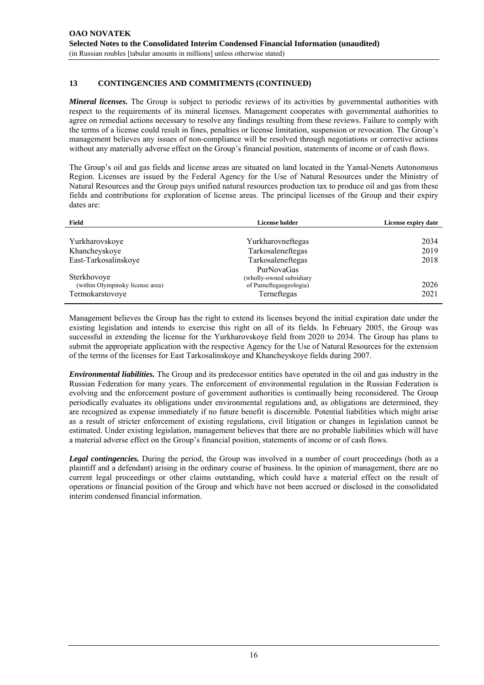#### **13 CONTINGENCIES AND COMMITMENTS (CONTINUED)**

*Mineral licenses*. The Group is subject to periodic reviews of its activities by governmental authorities with respect to the requirements of its mineral licenses. Management cooperates with governmental authorities to agree on remedial actions necessary to resolve any findings resulting from these reviews. Failure to comply with the terms of a license could result in fines, penalties or license limitation, suspension or revocation. The Group's management believes any issues of non-compliance will be resolved through negotiations or corrective actions without any materially adverse effect on the Group's financial position, statements of income or of cash flows.

The Group's oil and gas fields and license areas are situated on land located in the Yamal-Nenets Autonomous Region. Licenses are issued by the Federal Agency for the Use of Natural Resources under the Ministry of Natural Resources and the Group pays unified natural resources production tax to produce oil and gas from these fields and contributions for exploration of license areas. The principal licenses of the Group and their expiry dates are:

| Field                            | <b>License holder</b>    | License expiry date |
|----------------------------------|--------------------------|---------------------|
|                                  |                          |                     |
| Yurkharovskoye                   | Yurkharovneftegas        | 2034                |
| Khancheyskoye                    | Tarkosaleneftegas        | 2019                |
| East-Tarkosalinskove             | Tarkosaleneftegas        | 2018                |
|                                  | PurNovaGas               |                     |
| Sterkhovoye                      | (wholly-owned subsidiary |                     |
| (within Olympinsky license area) | of Purneftegasgeologia)  | 2026                |
| Termokarstovoye                  | Terneftegas              | 2021                |

Management believes the Group has the right to extend its licenses beyond the initial expiration date under the existing legislation and intends to exercise this right on all of its fields. In February 2005, the Group was successful in extending the license for the Yurkharovskoye field from 2020 to 2034. The Group has plans to submit the appropriate application with the respective Agency for the Use of Natural Resources for the extension of the terms of the licenses for East Tarkosalinskoye and Khancheyskoye fields during 2007.

*Environmental liabilities.* The Group and its predecessor entities have operated in the oil and gas industry in the Russian Federation for many years. The enforcement of environmental regulation in the Russian Federation is evolving and the enforcement posture of government authorities is continually being reconsidered. The Group periodically evaluates its obligations under environmental regulations and, as obligations are determined, they are recognized as expense immediately if no future benefit is discernible. Potential liabilities which might arise as a result of stricter enforcement of existing regulations, civil litigation or changes in legislation cannot be estimated. Under existing legislation, management believes that there are no probable liabilities which will have a material adverse effect on the Group's financial position, statements of income or of cash flows.

*Legal contingencies.* During the period, the Group was involved in a number of court proceedings (both as a plaintiff and a defendant) arising in the ordinary course of business. In the opinion of management, there are no current legal proceedings or other claims outstanding, which could have a material effect on the result of operations or financial position of the Group and which have not been accrued or disclosed in the consolidated interim condensed financial information.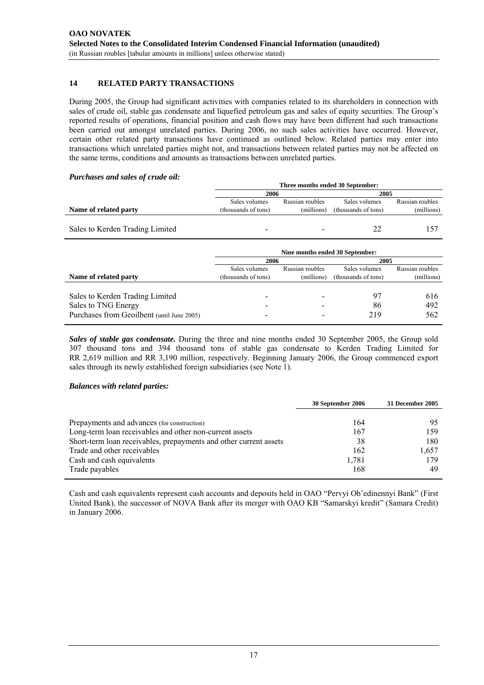#### **14 RELATED PARTY TRANSACTIONS**

During 2005, the Group had significant activities with companies related to its shareholders in connection with sales of crude oil, stable gas condensate and liquefied petroleum gas and sales of equity securities. The Group's reported results of operations, financial position and cash flows may have been different had such transactions been carried out amongst unrelated parties. During 2006, no such sales activities have occurred. However, certain other related party transactions have continued as outlined below. Related parties may enter into transactions which unrelated parties might not, and transactions between related parties may not be affected on the same terms, conditions and amounts as transactions between unrelated parties.

#### *Purchases and sales of crude oil:*

|                                 | Three months ended 30 September: |                 |                     |                 |
|---------------------------------|----------------------------------|-----------------|---------------------|-----------------|
|                                 |                                  | 2006            |                     | 2005            |
|                                 | Sales volumes                    | Russian roubles | Sales volumes       | Russian roubles |
| Name of related party           | (thousands of tons)              | (millions)      | (thousands of tons) | (millions)      |
|                                 |                                  |                 |                     |                 |
| Sales to Kerden Trading Limited | -                                |                 |                     |                 |

|                                                                                                      | Nine months ended 30 September:<br>2006<br>2005 |                               |                                      |                               |
|------------------------------------------------------------------------------------------------------|-------------------------------------------------|-------------------------------|--------------------------------------|-------------------------------|
| Name of related party                                                                                | Sales volumes<br>(thousands of tons)            | Russian roubles<br>(millions) | Sales volumes<br>(thousands of tons) | Russian roubles<br>(millions) |
| Sales to Kerden Trading Limited<br>Sales to TNG Energy<br>Purchases from Geoilbent (until June 2005) |                                                 |                               | -97<br>86<br>219                     | 616<br>492<br>562             |

*Sales of stable gas condensate.* During the three and nine months ended 30 September 2005, the Group sold 307 thousand tons and 394 thousand tons of stable gas condensate to Kerden Trading Limited for RR 2,619 million and RR 3,190 million, respectively. Beginning January 2006, the Group commenced export sales through its newly established foreign subsidiaries (see Note 1).

#### *Balances with related parties:*

|                                                                   | 30 September 2006 | 31 December 2005 |
|-------------------------------------------------------------------|-------------------|------------------|
|                                                                   |                   |                  |
| Prepayments and advances (for construction)                       | 164               | 95               |
| Long-term loan receivables and other non-current assets           | 167               | 159              |
| Short-term loan receivables, prepayments and other current assets | 38                | 180              |
| Trade and other receivables                                       | 162               | 1.657            |
| Cash and cash equivalents                                         | 1,781             | 179              |
| Trade payables                                                    | 168               | 49               |

Cash and cash equivalents represent cash accounts and deposits held in OAO "Pervyi Ob'edinennyi Bank" (First United Bank), the successor of NOVA Bank after its merger with OAO KB "Samarskyi kredit" (Samara Credit) in January 2006.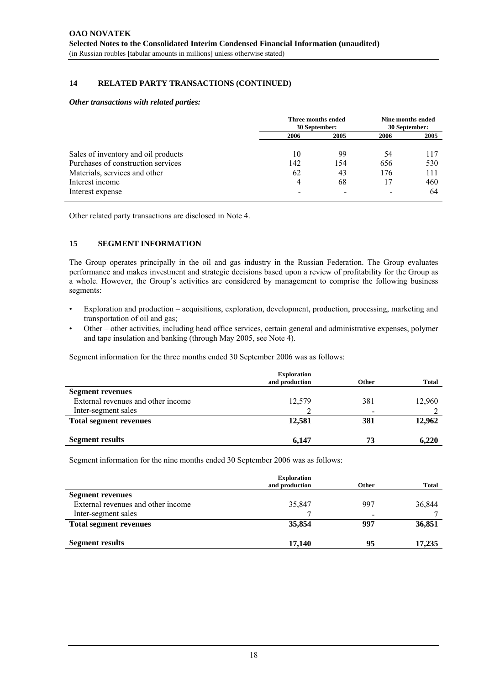#### **14 RELATED PARTY TRANSACTIONS (CONTINUED)**

#### *Other transactions with related parties:*

|                                     | Three months ended<br>30 September: |      | Nine months ended<br>30 September: |      |
|-------------------------------------|-------------------------------------|------|------------------------------------|------|
|                                     | 2006                                | 2005 | 2006                               | 2005 |
| Sales of inventory and oil products | 10                                  | 99   | 54                                 | 117  |
| Purchases of construction services  | 142                                 | 154  | 656                                | 530  |
| Materials, services and other       | 62                                  | 43   | 176                                | 111  |
| Interest income                     | 4                                   | 68   | 17                                 | 460  |
| Interest expense                    |                                     |      | $\qquad \qquad$                    | 64   |

Other related party transactions are disclosed in Note 4.

#### **15 SEGMENT INFORMATION**

The Group operates principally in the oil and gas industry in the Russian Federation. The Group evaluates performance and makes investment and strategic decisions based upon a review of profitability for the Group as a whole. However, the Group's activities are considered by management to comprise the following business segments:

- Exploration and production acquisitions, exploration, development, production, processing, marketing and transportation of oil and gas;
- Other other activities, including head office services, certain general and administrative expenses, polymer and tape insulation and banking (through May 2005, see Note 4).

Segment information for the three months ended 30 September 2006 was as follows:

|                                    | <b>Exploration</b> |              |              |
|------------------------------------|--------------------|--------------|--------------|
|                                    | and production     | <b>Other</b> | <b>Total</b> |
| <b>Segment revenues</b>            |                    |              |              |
| External revenues and other income | 12,579             | 381          | 12,960       |
| Inter-segment sales                |                    | -            |              |
| <b>Total segment revenues</b>      | 12,581             | 381          | 12,962       |
| <b>Segment results</b>             | 6,147              | 73           | 6,220        |

Segment information for the nine months ended 30 September 2006 was as follows:

|                                    | <b>Exploration</b> |              |              |
|------------------------------------|--------------------|--------------|--------------|
|                                    | and production     | <b>Other</b> | <b>Total</b> |
| <b>Segment revenues</b>            |                    |              |              |
| External revenues and other income | 35,847             | 997          | 36,844       |
| Inter-segment sales                |                    | -            |              |
| <b>Total segment revenues</b>      | 35,854             | 997          | 36,851       |
| <b>Segment results</b>             | 17.140             | 95           | 17,235       |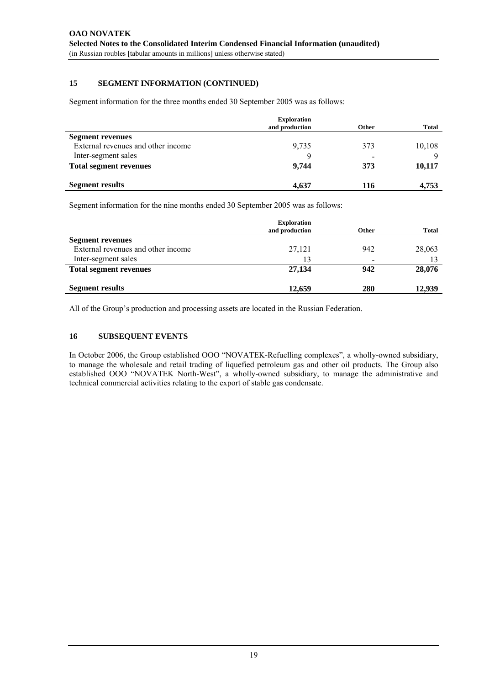#### **15 SEGMENT INFORMATION (CONTINUED)**

Segment information for the three months ended 30 September 2005 was as follows:

|                                    | <b>Exploration</b><br>and production | Other                    | <b>Total</b> |
|------------------------------------|--------------------------------------|--------------------------|--------------|
| <b>Segment revenues</b>            |                                      |                          |              |
| External revenues and other income | 9,735                                | 373                      | 10,108       |
| Inter-segment sales                | Q                                    | $\overline{\phantom{0}}$ | $\Omega$     |
| <b>Total segment revenues</b>      | 9.744                                | 373                      | 10,117       |
|                                    |                                      |                          |              |
| <b>Segment results</b>             | 4.637                                | 116                      | 4.753        |

Segment information for the nine months ended 30 September 2005 was as follows:

|                                    | <b>Exploration</b><br>and production | Other                        | <b>Total</b> |
|------------------------------------|--------------------------------------|------------------------------|--------------|
| <b>Segment revenues</b>            |                                      |                              |              |
| External revenues and other income | 27,121                               | 942                          | 28,063       |
| Inter-segment sales                | 13                                   | $\qquad \qquad \blacksquare$ |              |
| <b>Total segment revenues</b>      | 27,134                               | 942                          | 28,076       |
| <b>Segment results</b>             | 12,659                               | 280                          | 12,939       |

All of the Group's production and processing assets are located in the Russian Federation.

#### **16 SUBSEQUENT EVENTS**

In October 2006, the Group established OOO "NOVATEK-Refuelling сomplexes", a wholly-owned subsidiary, to manage the wholesale and retail trading of liquefied petroleum gas and other oil products. The Group also established OOO "NOVATEK North-West", a wholly-owned subsidiary, to manage the administrative and technical commercial activities relating to the export of stable gas condensate.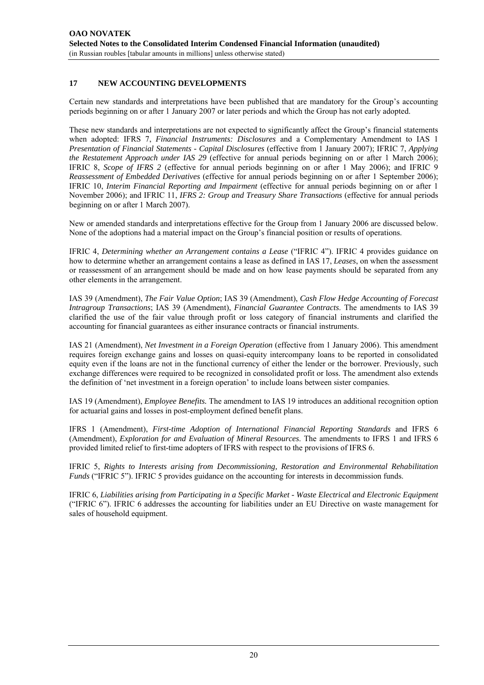#### **17 NEW ACCOUNTING DEVELOPMENTS**

Certain new standards and interpretations have been published that are mandatory for the Group's accounting periods beginning on or after 1 January 2007 or later periods and which the Group has not early adopted.

These new standards and interpretations are not expected to significantly affect the Group's financial statements when adopted: IFRS 7, *Financial Instruments: Disclosures* and a Complementary Amendment to IAS 1 *Presentation of Financial Statements - Capital Disclosures* (effective from 1 January 2007); IFRIC 7, *Applying the Restatement Approach under IAS 29* (effective for annual periods beginning on or after 1 March 2006); IFRIC 8, *Scope of IFRS 2* (effective for annual periods beginning on or after 1 May 2006); and IFRIC 9 *Reassessment of Embedded Derivatives* (effective for annual periods beginning on or after 1 September 2006); IFRIC 10, *Interim Financial Reporting and Impairment* (effective for annual periods beginning on or after 1 November 2006); and IFRIC 11, *IFRS 2: Group and Treasury Share Transactions* (effective for annual periods beginning on or after 1 March 2007).

New or amended standards and interpretations effective for the Group from 1 January 2006 are discussed below. None of the adoptions had a material impact on the Group's financial position or results of operations.

IFRIC 4, *Determining whether an Arrangement contains a Lease* ("IFRIC 4"). IFRIC 4 provides guidance on how to determine whether an arrangement contains a lease as defined in IAS 17, *Leases*, on when the assessment or reassessment of an arrangement should be made and on how lease payments should be separated from any other elements in the arrangement.

IAS 39 (Amendment), *The Fair Value Option*; IAS 39 (Amendment), *Cash Flow Hedge Accounting of Forecast Intragroup Transactions*; IAS 39 (Amendment), *Financial Guarantee Contracts*. The amendments to IAS 39 clarified the use of the fair value through profit or loss category of financial instruments and clarified the accounting for financial guarantees as either insurance contracts or financial instruments.

IAS 21 (Amendment), *Net Investment in a Foreign Operation* (effective from 1 January 2006). This amendment requires foreign exchange gains and losses on quasi-equity intercompany loans to be reported in consolidated equity even if the loans are not in the functional currency of either the lender or the borrower. Previously, such exchange differences were required to be recognized in consolidated profit or loss. The amendment also extends the definition of 'net investment in a foreign operation' to include loans between sister companies.

IAS 19 (Amendment), *Employee Benefits.* The amendment to IAS 19 introduces an additional recognition option for actuarial gains and losses in post-employment defined benefit plans.

IFRS 1 (Amendment), *First-time Adoption of International Financial Reporting Standards* and IFRS 6 (Amendment), *Exploration for and Evaluation of Mineral Resources*. The amendments to IFRS 1 and IFRS 6 provided limited relief to first-time adopters of IFRS with respect to the provisions of IFRS 6.

IFRIC 5, *Rights to Interests arising from Decommissioning, Restoration and Environmental Rehabilitation Funds* ("IFRIC 5"). IFRIC 5 provides guidance on the accounting for interests in decommission funds.

IFRIC 6, *Liabilities arising from Participating in a Specific Market - Waste Electrical and Electronic Equipment* ("IFRIC 6"). IFRIC 6 addresses the accounting for liabilities under an EU Directive on waste management for sales of household equipment.